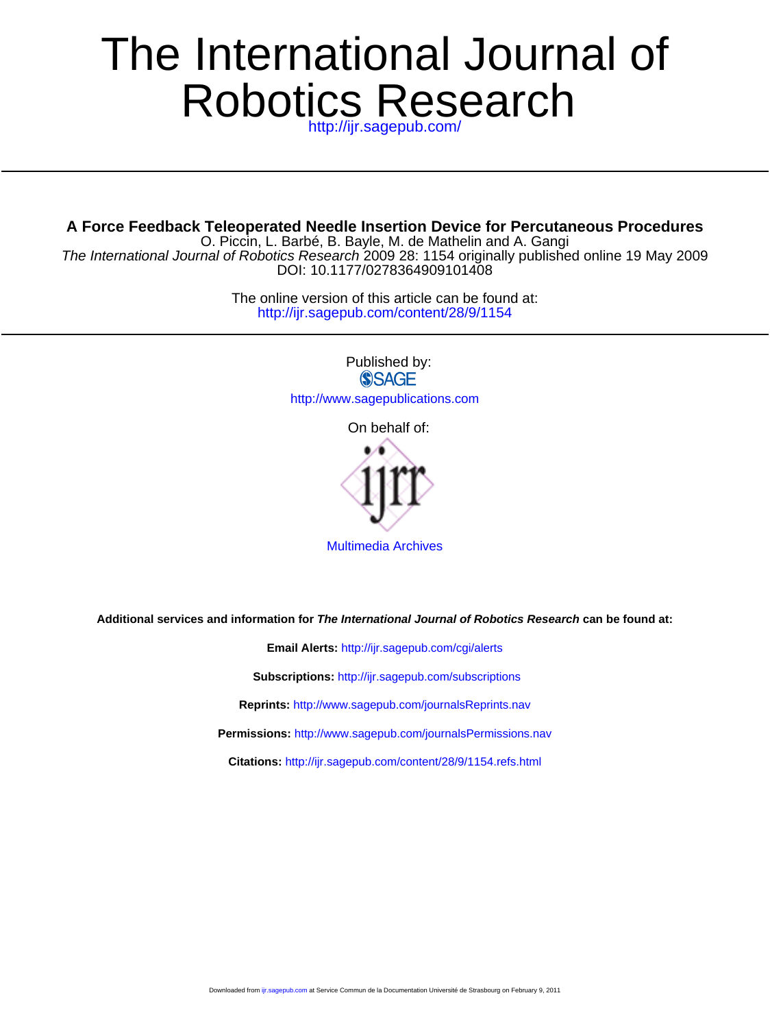# Robotics Research The International Journal of

<http://ijr.sagepub.com/>

DOI: 10.1177/0278364909101408 The International Journal of Robotics Research 2009 28: 1154 originally published online 19 May 2009 O. Piccin, L. Barbé, B. Bayle, M. de Mathelin and A. Gangi **A Force Feedback Teleoperated Needle Insertion Device for Percutaneous Procedures**

> <http://ijr.sagepub.com/content/28/9/1154> The online version of this article can be found at:

> > Published by: **SSAGE** <http://www.sagepublications.com> On behalf of:



[Multimedia Archives](http://www.ijrr.org/)

**Additional services and information for The International Journal of Robotics Research can be found at:**

**Email Alerts:** <http://ijr.sagepub.com/cgi/alerts>

**Subscriptions:** <http://ijr.sagepub.com/subscriptions>

**Reprints:** <http://www.sagepub.com/journalsReprints.nav>

**Permissions:** <http://www.sagepub.com/journalsPermissions.nav>

**Citations:** <http://ijr.sagepub.com/content/28/9/1154.refs.html>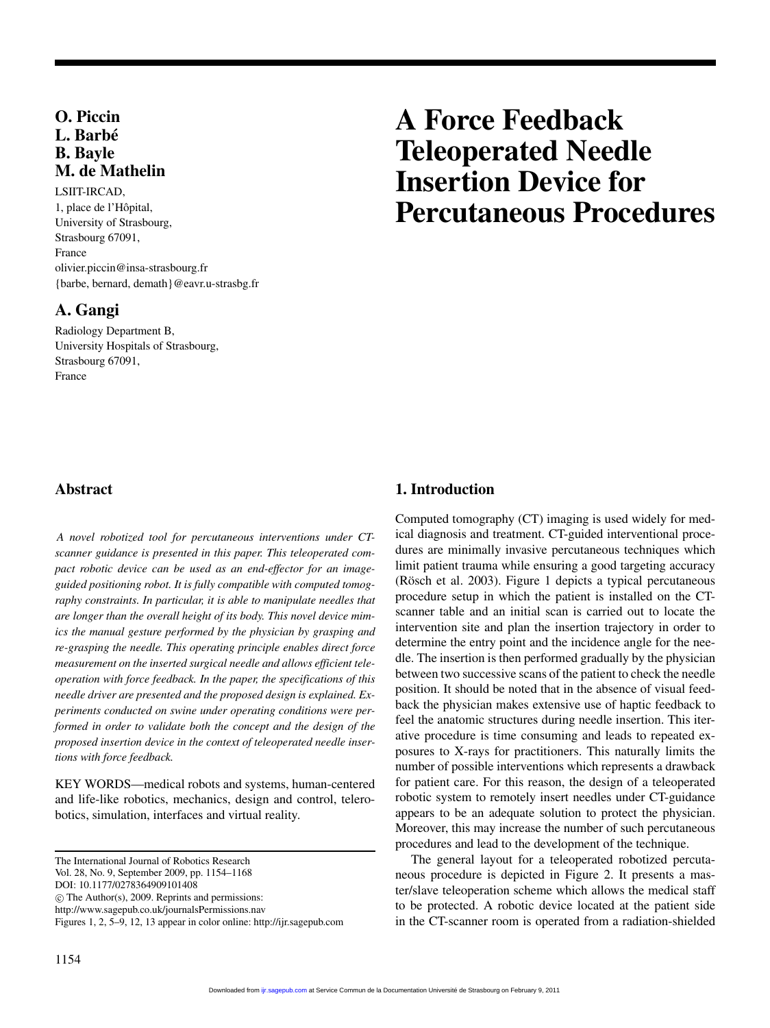**O. Piccin L. Barbé B. Bayle M. de Mathelin**

LSIIT-IRCAD, 1, place de l'Hôpital, University of Strasbourg, Strasbourg 67091, France olivier.piccin@insa-strasbourg.fr {barbe, bernard, demath}@eavr.u-strasbg.fr

# **A. Gangi**

Radiology Department B, University Hospitals of Strasbourg, Strasbourg 67091, France

# **A Force Feedback Teleoperated Needle Insertion Device for Percutaneous Procedures**

# **Abstract**

*A novel robotized tool for percutaneous interventions under CTscanner guidance is presented in this paper. This teleoperated compact robotic device can be used as an end-effector for an imageguided positioning robot. It is fully compatible with computed tomography constraints. In particular, it is able to manipulate needles that are longer than the overall height of its body. This novel device mimics the manual gesture performed by the physician by grasping and re-grasping the needle. This operating principle enables direct force measurement on the inserted surgical needle and allows efficient teleoperation with force feedback. In the paper, the specifications of this needle driver are presented and the proposed design is explained. Experiments conducted on swine under operating conditions were performed in order to validate both the concept and the design of the proposed insertion device in the context of teleoperated needle insertions with force feedback.*

KEY WORDS—medical robots and systems, human-centered and life-like robotics, mechanics, design and control, telerobotics, simulation, interfaces and virtual reality.

Vol. 28, No. 9, September 2009, pp. 1154–1168

 $©$  The Author(s), 2009. Reprints and permissions:

http://www.sagepub.co.uk/journalsPermissions.nav

# **1. Introduction**

Computed tomography (CT) imaging is used widely for medical diagnosis and treatment. CT-guided interventional procedures are minimally invasive percutaneous techniques which limit patient trauma while ensuring a good targeting accuracy (Rösch et al. 2003). Figure 1 depicts a typical percutaneous procedure setup in which the patient is installed on the CTscanner table and an initial scan is carried out to locate the intervention site and plan the insertion trajectory in order to determine the entry point and the incidence angle for the needle. The insertion is then performed gradually by the physician between two successive scans of the patient to check the needle position. It should be noted that in the absence of visual feedback the physician makes extensive use of haptic feedback to feel the anatomic structures during needle insertion. This iterative procedure is time consuming and leads to repeated exposures to X-rays for practitioners. This naturally limits the number of possible interventions which represents a drawback for patient care. For this reason, the design of a teleoperated robotic system to remotely insert needles under CT-guidance appears to be an adequate solution to protect the physician. Moreover, this may increase the number of such percutaneous procedures and lead to the development of the technique.

The general layout for a teleoperated robotized percutaneous procedure is depicted in Figure 2. It presents a master/slave teleoperation scheme which allows the medical staff to be protected. A robotic device located at the patient side in the CT-scanner room is operated from a radiation-shielded

The International Journal of Robotics Research

DOI: 10.1177/0278364909101408

Figures 1, 2, 5–9, 12, 13 appear in color online: http://ijr.sagepub.com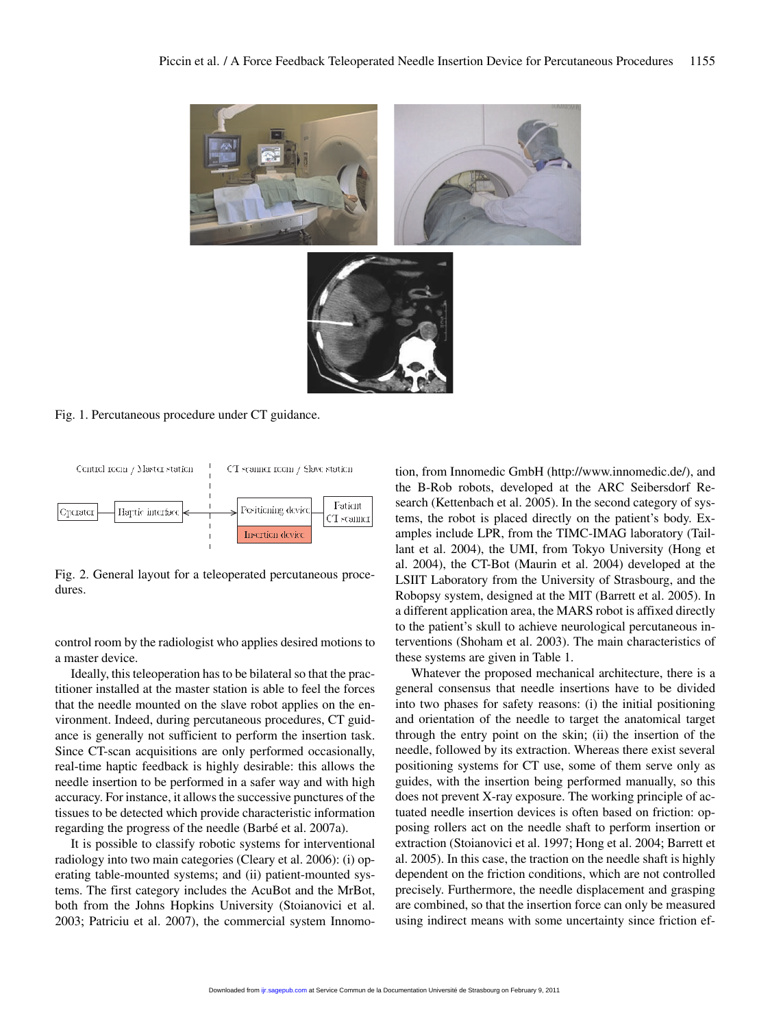



Fig. 1. Percutaneous procedure under CT guidance.



Fig. 2. General layout for a teleoperated percutaneous procedures.

control room by the radiologist who applies desired motions to a master device.

Ideally, this teleoperation has to be bilateral so that the practitioner installed at the master station is able to feel the forces that the needle mounted on the slave robot applies on the environment. Indeed, during percutaneous procedures, CT guidance is generally not sufficient to perform the insertion task. Since CT-scan acquisitions are only performed occasionally, real-time haptic feedback is highly desirable: this allows the needle insertion to be performed in a safer way and with high accuracy. For instance, it allows the successive punctures of the tissues to be detected which provide characteristic information regarding the progress of the needle (Barbé et al. 2007a).

It is possible to classify robotic systems for interventional radiology into two main categories (Cleary et al. 2006): (i) operating table-mounted systems; and (ii) patient-mounted systems. The first category includes the AcuBot and the MrBot, both from the Johns Hopkins University (Stoianovici et al. 2003; Patriciu et al. 2007), the commercial system Innomo-

tion, from Innomedic GmbH (http://www.innomedic.de/), and the B-Rob robots, developed at the ARC Seibersdorf Research (Kettenbach et al. 2005). In the second category of systems, the robot is placed directly on the patient's body. Examples include LPR, from the TIMC-IMAG laboratory (Taillant et al. 2004), the UMI, from Tokyo University (Hong et al. 2004), the CT-Bot (Maurin et al. 2004) developed at the LSIIT Laboratory from the University of Strasbourg, and the Robopsy system, designed at the MIT (Barrett et al. 2005). In a different application area, the MARS robot is affixed directly to the patient's skull to achieve neurological percutaneous interventions (Shoham et al. 2003). The main characteristics of these systems are given in Table 1.

Whatever the proposed mechanical architecture, there is a general consensus that needle insertions have to be divided into two phases for safety reasons: (i) the initial positioning and orientation of the needle to target the anatomical target through the entry point on the skin; (ii) the insertion of the needle, followed by its extraction. Whereas there exist several positioning systems for CT use, some of them serve only as guides, with the insertion being performed manually, so this does not prevent X-ray exposure. The working principle of actuated needle insertion devices is often based on friction: opposing rollers act on the needle shaft to perform insertion or extraction (Stoianovici et al. 1997; Hong et al. 2004; Barrett et al. 2005). In this case, the traction on the needle shaft is highly dependent on the friction conditions, which are not controlled precisely. Furthermore, the needle displacement and grasping are combined, so that the insertion force can only be measured using indirect means with some uncertainty since friction ef-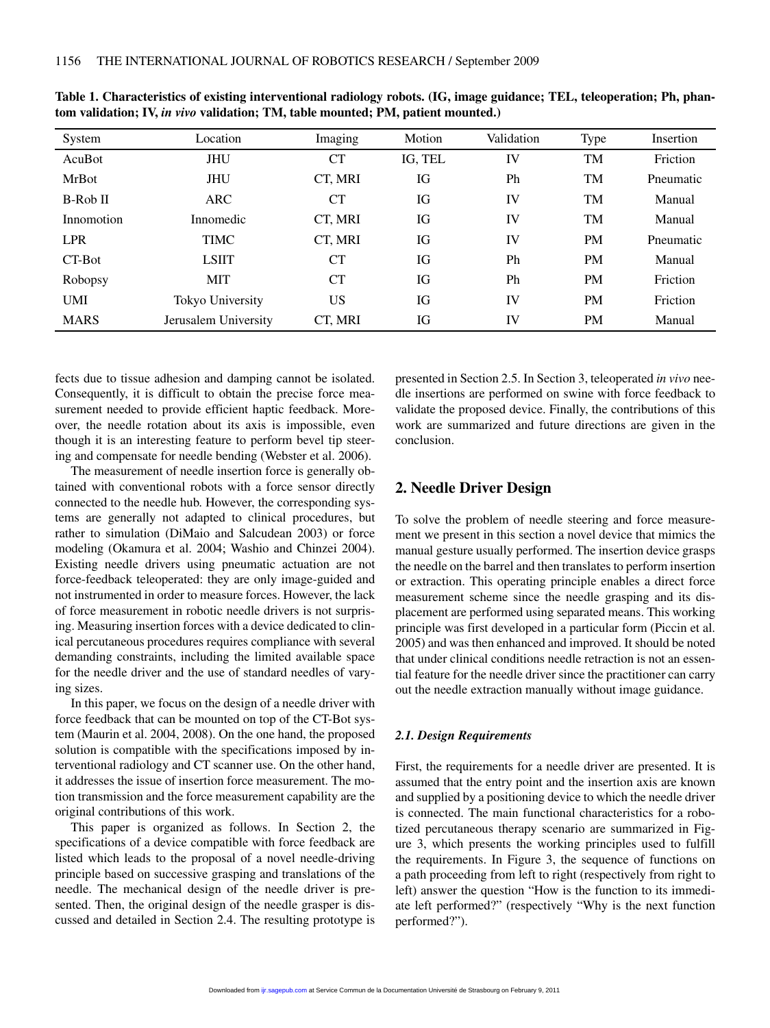| System       | Location             | Imaging   | Motion  | Validation | Type      | Insertion |
|--------------|----------------------|-----------|---------|------------|-----------|-----------|
| AcuBot       | <b>JHU</b>           | CT        | IG, TEL | IV         | TM        | Friction  |
| <b>MrBot</b> | <b>JHU</b>           | CT, MRI   | IG      | Ph         | <b>TM</b> | Pneumatic |
| $B-Rob$ II   | <b>ARC</b>           | CT        | IG      | IV         | TM        | Manual    |
| Innomotion   | Innomedic            | CT, MRI   | IG      | IV         | TM        | Manual    |
| <b>LPR</b>   | TIMC                 | CT, MRI   | IG      | IV         | <b>PM</b> | Pneumatic |
| CT-Bot       | <b>LSIIT</b>         | CT        | IG      | Ph         | <b>PM</b> | Manual    |
| Robopsy      | <b>MIT</b>           | <b>CT</b> | IG      | Ph         | <b>PM</b> | Friction  |
| <b>UMI</b>   | Tokyo University     | US        | IG      | IV         | <b>PM</b> | Friction  |
| <b>MARS</b>  | Jerusalem University | CT. MRI   | IG      | IV         | <b>PM</b> | Manual    |

**Table 1. Characteristics of existing interventional radiology robots. (IG, image guidance- TEL, teleoperation- Ph, phantom validation- IV,** *in vivo* **validation- TM, table mounted- PM, patient mounted.)**

fects due to tissue adhesion and damping cannot be isolated. Consequently, it is difficult to obtain the precise force measurement needed to provide efficient haptic feedback. Moreover, the needle rotation about its axis is impossible, even though it is an interesting feature to perform bevel tip steering and compensate for needle bending (Webster et al. 2006).

The measurement of needle insertion force is generally obtained with conventional robots with a force sensor directly connected to the needle hub. However, the corresponding systems are generally not adapted to clinical procedures, but rather to simulation (DiMaio and Salcudean 2003) or force modeling (Okamura et al. 2004; Washio and Chinzei 2004). Existing needle drivers using pneumatic actuation are not force-feedback teleoperated: they are only image-guided and not instrumented in order to measure forces. However, the lack of force measurement in robotic needle drivers is not surprising. Measuring insertion forces with a device dedicated to clinical percutaneous procedures requires compliance with several demanding constraints, including the limited available space for the needle driver and the use of standard needles of varying sizes.

In this paper, we focus on the design of a needle driver with force feedback that can be mounted on top of the CT-Bot system (Maurin et al. 2004, 2008). On the one hand, the proposed solution is compatible with the specifications imposed by interventional radiology and CT scanner use. On the other hand, it addresses the issue of insertion force measurement. The motion transmission and the force measurement capability are the original contributions of this work.

This paper is organized as follows. In Section 2, the specifications of a device compatible with force feedback are listed which leads to the proposal of a novel needle-driving principle based on successive grasping and translations of the needle. The mechanical design of the needle driver is presented. Then, the original design of the needle grasper is discussed and detailed in Section 2.4. The resulting prototype is presented in Section 2.5. In Section 3, teleoperated *in vivo* needle insertions are performed on swine with force feedback to validate the proposed device. Finally, the contributions of this work are summarized and future directions are given in the conclusion.

# **2. Needle Driver Design**

To solve the problem of needle steering and force measurement we present in this section a novel device that mimics the manual gesture usually performed. The insertion device grasps the needle on the barrel and then translates to perform insertion or extraction. This operating principle enables a direct force measurement scheme since the needle grasping and its displacement are performed using separated means. This working principle was first developed in a particular form (Piccin et al. 2005) and was then enhanced and improved. It should be noted that under clinical conditions needle retraction is not an essential feature for the needle driver since the practitioner can carry out the needle extraction manually without image guidance.

#### *2.1. Design Requirements*

First, the requirements for a needle driver are presented. It is assumed that the entry point and the insertion axis are known and supplied by a positioning device to which the needle driver is connected. The main functional characteristics for a robotized percutaneous therapy scenario are summarized in Figure 3, which presents the working principles used to fulfill the requirements. In Figure 3, the sequence of functions on a path proceeding from left to right (respectively from right to left) answer the question "How is the function to its immediate left performed?" (respectively "Why is the next function performed?").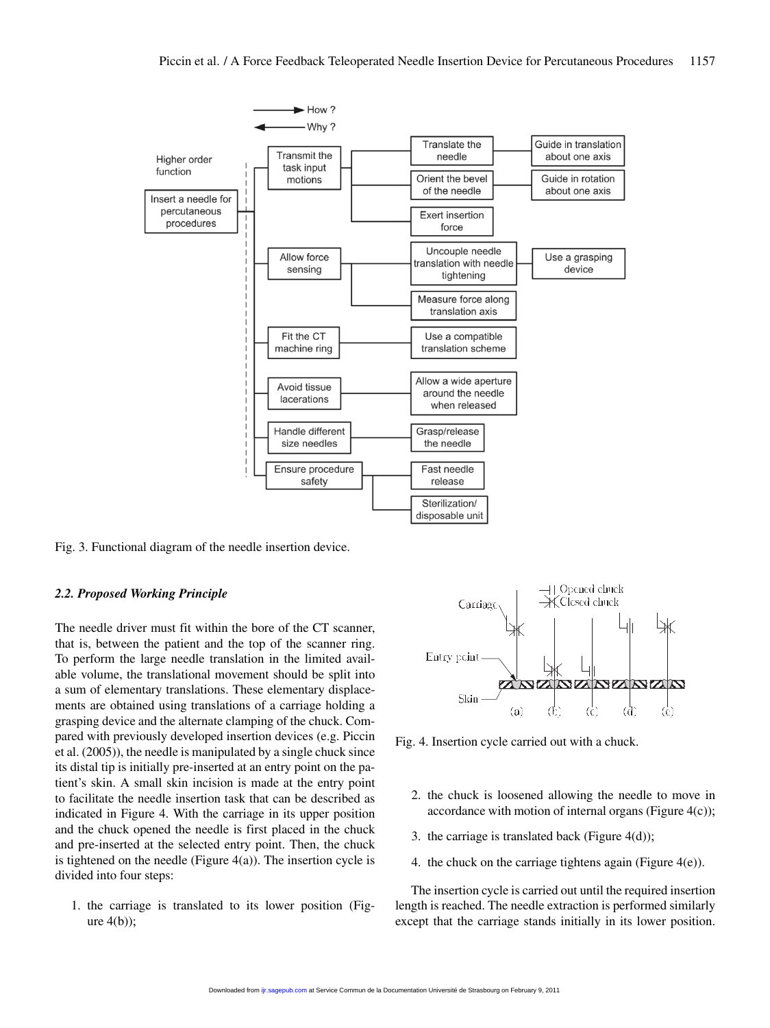

Fig. 3. Functional diagram of the needle insertion device.

### *2.2. Proposed Working Principle*

The needle driver must fit within the bore of the CT scanner, that is, between the patient and the top of the scanner ring. To perform the large needle translation in the limited available volume, the translational movement should be split into a sum of elementary translations. These elementary displacements are obtained using translations of a carriage holding a grasping device and the alternate clamping of the chuck. Compared with previously developed insertion devices (e.g. Piccin et al. (2005)), the needle is manipulated by a single chuck since its distal tip is initially pre-inserted at an entry point on the patient's skin. A small skin incision is made at the entry point to facilitate the needle insertion task that can be described as indicated in Figure 4. With the carriage in its upper position and the chuck opened the needle is first placed in the chuck and pre-inserted at the selected entry point. Then, the chuck is tightened on the needle (Figure  $4(a)$ ). The insertion cycle is divided into four steps:

1. the carriage is translated to its lower position (Figure  $4(b)$ );



Fig. 4. Insertion cycle carried out with a chuck.

- 2. the chuck is loosened allowing the needle to move in accordance with motion of internal organs (Figure 4(c));
- 3. the carriage is translated back (Figure  $4(d)$ );
- 4. the chuck on the carriage tightens again (Figure 4(e)).

The insertion cycle is carried out until the required insertion length is reached. The needle extraction is performed similarly except that the carriage stands initially in its lower position.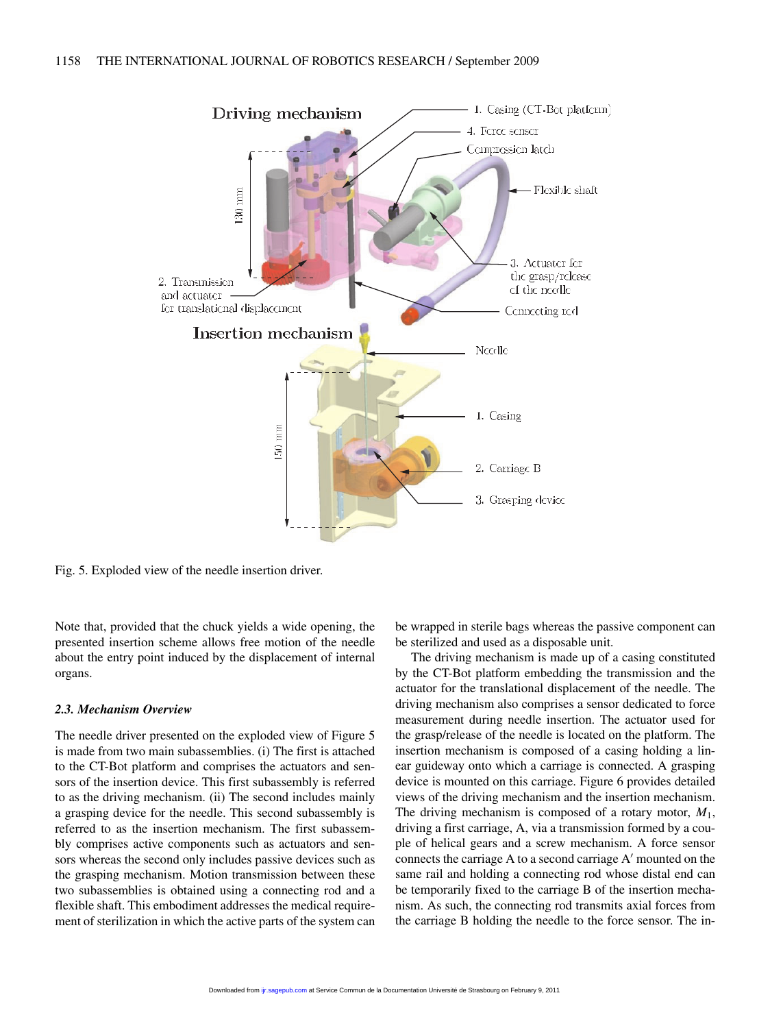

Fig. 5. Exploded view of the needle insertion driver.

Note that, provided that the chuck yields a wide opening, the presented insertion scheme allows free motion of the needle about the entry point induced by the displacement of internal organs.

### *2.3. Mechanism Overview*

The needle driver presented on the exploded view of Figure 5 is made from two main subassemblies. (i) The first is attached to the CT-Bot platform and comprises the actuators and sensors of the insertion device. This first subassembly is referred to as the driving mechanism. (ii) The second includes mainly a grasping device for the needle. This second subassembly is referred to as the insertion mechanism. The first subassembly comprises active components such as actuators and sensors whereas the second only includes passive devices such as the grasping mechanism. Motion transmission between these two subassemblies is obtained using a connecting rod and a flexible shaft. This embodiment addresses the medical requirement of sterilization in which the active parts of the system can be wrapped in sterile bags whereas the passive component can be sterilized and used as a disposable unit.

The driving mechanism is made up of a casing constituted by the CT-Bot platform embedding the transmission and the actuator for the translational displacement of the needle. The driving mechanism also comprises a sensor dedicated to force measurement during needle insertion. The actuator used for the grasp/release of the needle is located on the platform. The insertion mechanism is composed of a casing holding a linear guideway onto which a carriage is connected. A grasping device is mounted on this carriage. Figure 6 provides detailed views of the driving mechanism and the insertion mechanism. The driving mechanism is composed of a rotary motor,  $M_1$ , driving a first carriage, A, via a transmission formed by a couple of helical gears and a screw mechanism. A force sensor connects the carriage A to a second carriage A' mounted on the same rail and holding a connecting rod whose distal end can be temporarily fixed to the carriage B of the insertion mechanism. As such, the connecting rod transmits axial forces from the carriage B holding the needle to the force sensor. The in-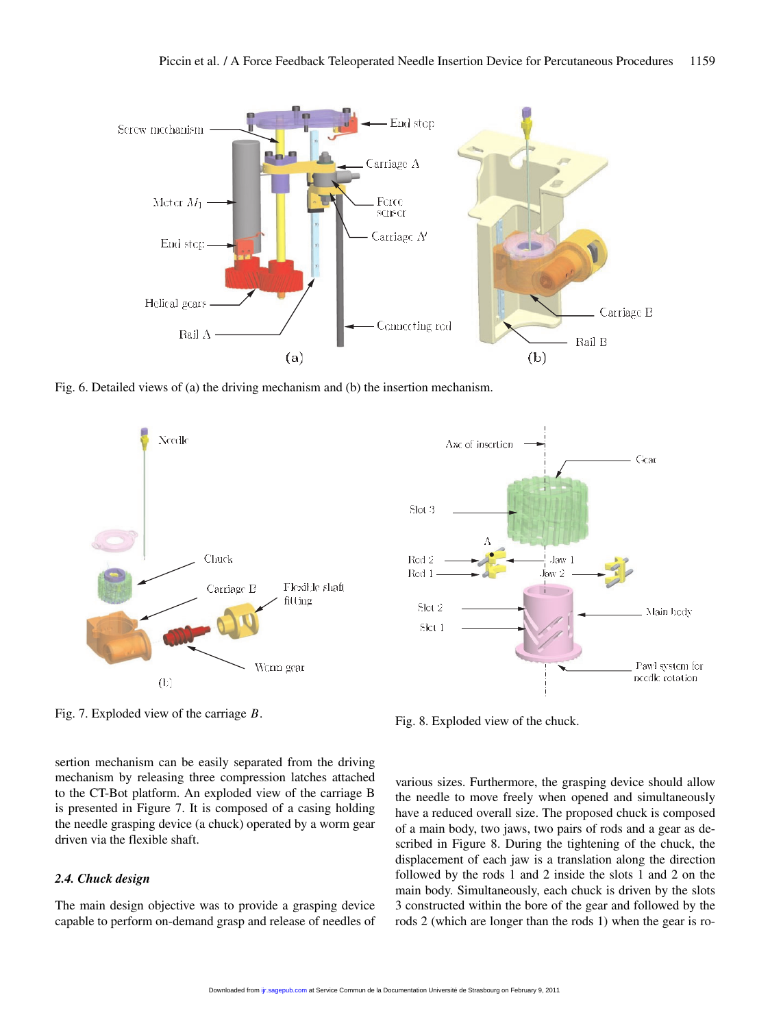

Fig. 6. Detailed views of (a) the driving mechanism and (b) the insertion mechanism.



Axe of insertion Gear Slot  $3$ Λ  ${\rm Rod}~2$  $Jew_1$ Rod 1 Jow 2 Slot 2 Main body  $Slot1$ Pawl system for needle rotation

Fig. 7. Exploded view of the carriage *B*.

Fig. 8. Exploded view of the chuck.

sertion mechanism can be easily separated from the driving mechanism by releasing three compression latches attached to the CT-Bot platform. An exploded view of the carriage B is presented in Figure 7. It is composed of a casing holding the needle grasping device (a chuck) operated by a worm gear driven via the flexible shaft.

# *2.4. Chuck design*

The main design objective was to provide a grasping device capable to perform on-demand grasp and release of needles of

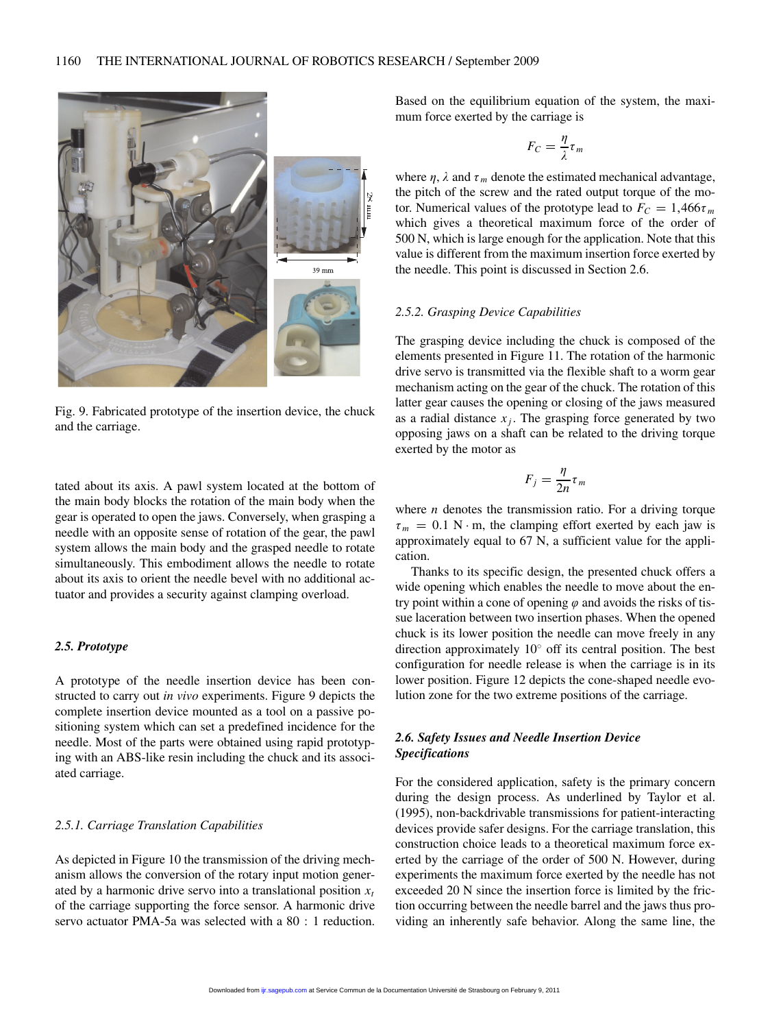

Fig. 9. Fabricated prototype of the insertion device, the chuck and the carriage.

tated about its axis. A pawl system located at the bottom of the main body blocks the rotation of the main body when the gear is operated to open the jaws. Conversely, when grasping a needle with an opposite sense of rotation of the gear, the pawl system allows the main body and the grasped needle to rotate simultaneously. This embodiment allows the needle to rotate about its axis to orient the needle bevel with no additional actuator and provides a security against clamping overload.

#### *2.5. Prototype*

A prototype of the needle insertion device has been constructed to carry out *in vivo* experiments. Figure 9 depicts the complete insertion device mounted as a tool on a passive positioning system which can set a predefined incidence for the needle. Most of the parts were obtained using rapid prototyping with an ABS-like resin including the chuck and its associated carriage.

#### *2.5.1. Carriage Translation Capabilities*

As depicted in Figure 10 the transmission of the driving mechanism allows the conversion of the rotary input motion generated by a harmonic drive servo into a translational position  $x_t$ of the carriage supporting the force sensor. A harmonic drive servo actuator PMA-5a was selected with a 80 : 1 reduction.

Based on the equilibrium equation of the system, the maximum force exerted by the carriage is

$$
F_C = \frac{\eta}{\lambda} \tau_m
$$

where  $\eta$ ,  $\lambda$  and  $\tau_m$  denote the estimated mechanical advantage, the pitch of the screw and the rated output torque of the motor. Numerical values of the prototype lead to  $F_C = 1,466\tau_m$ which gives a theoretical maximum force of the order of 500 N, which is large enough for the application. Note that this value is different from the maximum insertion force exerted by the needle. This point is discussed in Section 2.6.

#### *2.5.2. Grasping Device Capabilities*

The grasping device including the chuck is composed of the elements presented in Figure 11. The rotation of the harmonic drive servo is transmitted via the flexible shaft to a worm gear mechanism acting on the gear of the chuck. The rotation of this latter gear causes the opening or closing of the jaws measured as a radial distance  $x_i$ . The grasping force generated by two opposing jaws on a shaft can be related to the driving torque exerted by the motor as

$$
F_j = \frac{\eta}{2n} \tau_m
$$

where *n* denotes the transmission ratio. For a driving torque  $\tau_m = 0.1$  N  $\cdot$  m, the clamping effort exerted by each jaw is approximately equal to 67 N, a sufficient value for the application.

Thanks to its specific design, the presented chuck offers a wide opening which enables the needle to move about the entry point within a cone of opening  $\varphi$  and avoids the risks of tissue laceration between two insertion phases. When the opened chuck is its lower position the needle can move freely in any direction approximately  $10^{\circ}$  off its central position. The best configuration for needle release is when the carriage is in its lower position. Figure 12 depicts the cone-shaped needle evolution zone for the two extreme positions of the carriage.

# *2.6. Safety Issues and Needle Insertion Device Specifications*

For the considered application, safety is the primary concern during the design process. As underlined by Taylor et al. (1995), non-backdrivable transmissions for patient-interacting devices provide safer designs. For the carriage translation, this construction choice leads to a theoretical maximum force exerted by the carriage of the order of 500 N. However, during experiments the maximum force exerted by the needle has not exceeded 20 N since the insertion force is limited by the friction occurring between the needle barrel and the jaws thus providing an inherently safe behavior. Along the same line, the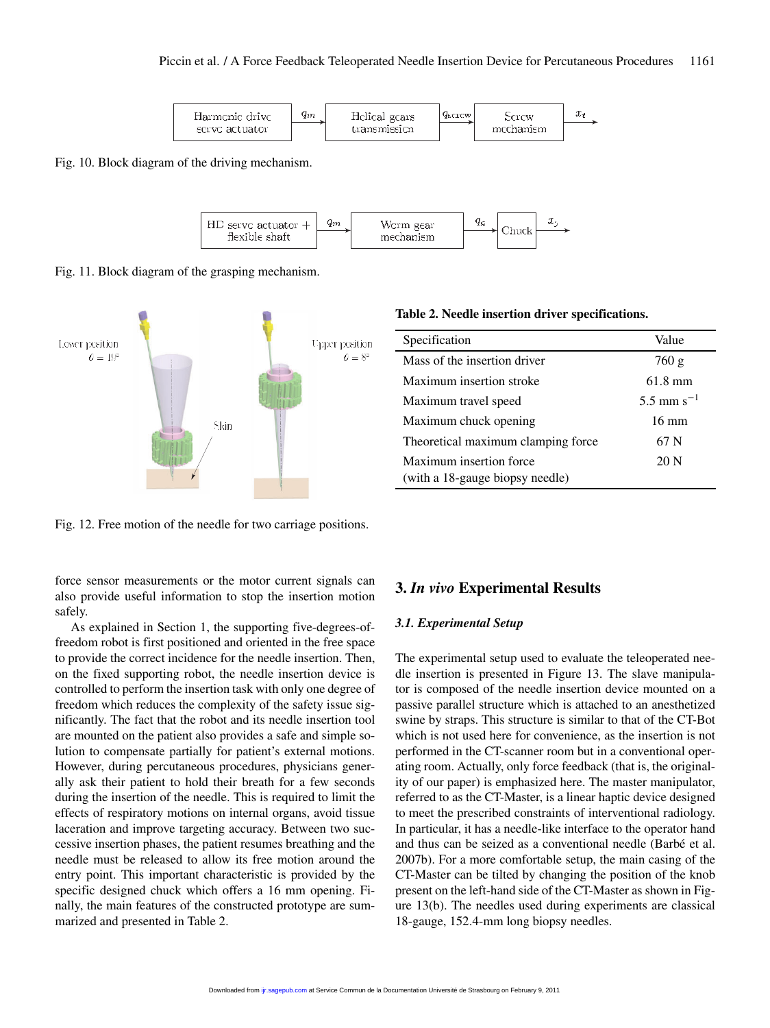

Fig. 10. Block diagram of the driving mechanism.



Fig. 11. Block diagram of the grasping mechanism.



Fig. 12. Free motion of the needle for two carriage positions.

force sensor measurements or the motor current signals can also provide useful information to stop the insertion motion safely.

As explained in Section 1, the supporting five-degrees-offreedom robot is first positioned and oriented in the free space to provide the correct incidence for the needle insertion. Then, on the fixed supporting robot, the needle insertion device is controlled to perform the insertion task with only one degree of freedom which reduces the complexity of the safety issue significantly. The fact that the robot and its needle insertion tool are mounted on the patient also provides a safe and simple solution to compensate partially for patient's external motions. However, during percutaneous procedures, physicians generally ask their patient to hold their breath for a few seconds during the insertion of the needle. This is required to limit the effects of respiratory motions on internal organs, avoid tissue laceration and improve targeting accuracy. Between two successive insertion phases, the patient resumes breathing and the needle must be released to allow its free motion around the entry point. This important characteristic is provided by the specific designed chuck which offers a 16 mm opening. Finally, the main features of the constructed prototype are summarized and presented in Table 2.

| Table 2. Needle insertion driver specifications. |  |  |  |
|--------------------------------------------------|--|--|--|
|--------------------------------------------------|--|--|--|

| Value             |  |  |
|-------------------|--|--|
| 760 g             |  |  |
| $61.8 \text{ mm}$ |  |  |
| 5.5 mm $s^{-1}$   |  |  |
| $16 \text{ mm}$   |  |  |
| 67 N              |  |  |
| 20 N              |  |  |
|                   |  |  |

# **3.** *In vivo* **Experimental Results**

#### *3.1. Experimental Setup*

The experimental setup used to evaluate the teleoperated needle insertion is presented in Figure 13. The slave manipulator is composed of the needle insertion device mounted on a passive parallel structure which is attached to an anesthetized swine by straps. This structure is similar to that of the CT-Bot which is not used here for convenience, as the insertion is not performed in the CT-scanner room but in a conventional operating room. Actually, only force feedback (that is, the originality of our paper) is emphasized here. The master manipulator, referred to as the CT-Master, is a linear haptic device designed to meet the prescribed constraints of interventional radiology. In particular, it has a needle-like interface to the operator hand and thus can be seized as a conventional needle (Barbé et al. 2007b). For a more comfortable setup, the main casing of the CT-Master can be tilted by changing the position of the knob present on the left-hand side of the CT-Master as shown in Figure 13(b). The needles used during experiments are classical 18-gauge, 1524-mm long biopsy needles.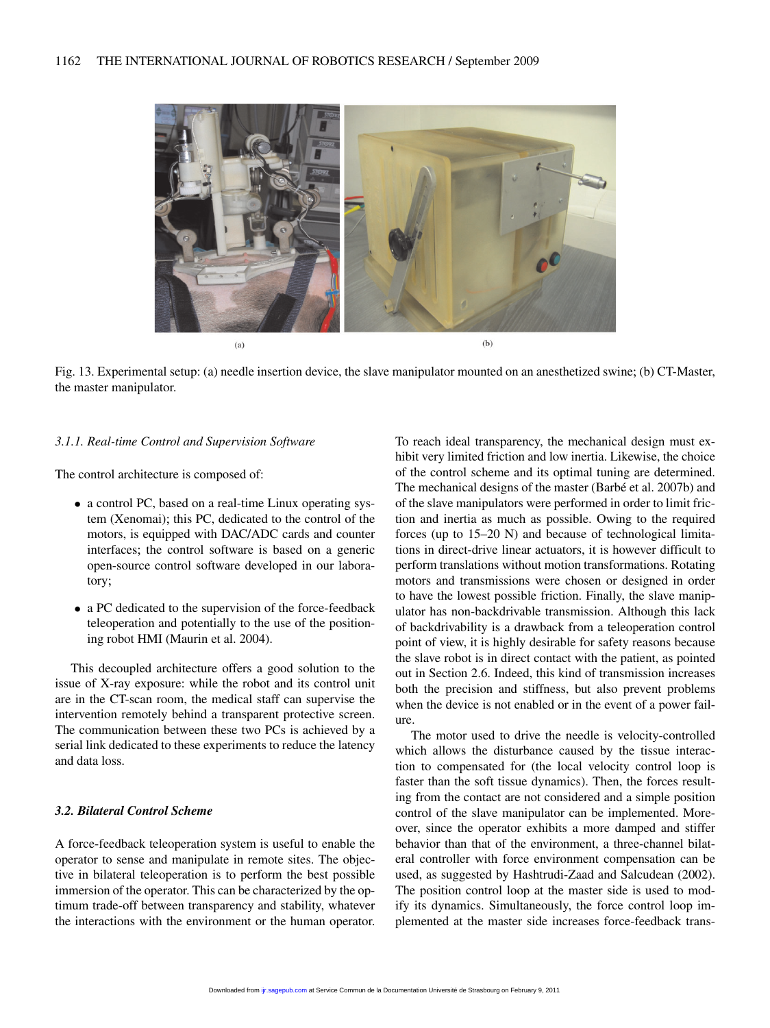

Fig. 13. Experimental setup: (a) needle insertion device, the slave manipulator mounted on an anesthetized swine; (b) CT-Master, the master manipulator.

### *3.1.1. Real-time Control and Supervision Software*

The control architecture is composed of:

- a control PC, based on a real-time Linux operating system (Xenomai); this PC, dedicated to the control of the motors, is equipped with DAC/ADC cards and counter interfaces; the control software is based on a generic open-source control software developed in our laboratory;
- a PC dedicated to the supervision of the force-feedback teleoperation and potentially to the use of the positioning robot HMI (Maurin et al. 2004).

This decoupled architecture offers a good solution to the issue of X-ray exposure: while the robot and its control unit are in the CT-scan room, the medical staff can supervise the intervention remotely behind a transparent protective screen. The communication between these two PCs is achieved by a serial link dedicated to these experiments to reduce the latency and data loss.

## *3.2. Bilateral Control Scheme*

A force-feedback teleoperation system is useful to enable the operator to sense and manipulate in remote sites. The objective in bilateral teleoperation is to perform the best possible immersion of the operator. This can be characterized by the optimum trade-off between transparency and stability, whatever the interactions with the environment or the human operator.

To reach ideal transparency, the mechanical design must exhibit very limited friction and low inertia. Likewise, the choice of the control scheme and its optimal tuning are determined. The mechanical designs of the master (Barbé et al. 2007b) and of the slave manipulators were performed in order to limit friction and inertia as much as possible. Owing to the required forces (up to 15–20 N) and because of technological limitations in direct-drive linear actuators, it is however difficult to perform translations without motion transformations. Rotating motors and transmissions were chosen or designed in order to have the lowest possible friction. Finally, the slave manipulator has non-backdrivable transmission. Although this lack of backdrivability is a drawback from a teleoperation control point of view, it is highly desirable for safety reasons because the slave robot is in direct contact with the patient, as pointed out in Section 2.6. Indeed, this kind of transmission increases both the precision and stiffness, but also prevent problems when the device is not enabled or in the event of a power failure.

The motor used to drive the needle is velocity-controlled which allows the disturbance caused by the tissue interaction to compensated for (the local velocity control loop is faster than the soft tissue dynamics). Then, the forces resulting from the contact are not considered and a simple position control of the slave manipulator can be implemented. Moreover, since the operator exhibits a more damped and stiffer behavior than that of the environment, a three-channel bilateral controller with force environment compensation can be used, as suggested by Hashtrudi-Zaad and Salcudean (2002). The position control loop at the master side is used to modify its dynamics. Simultaneously, the force control loop implemented at the master side increases force-feedback trans-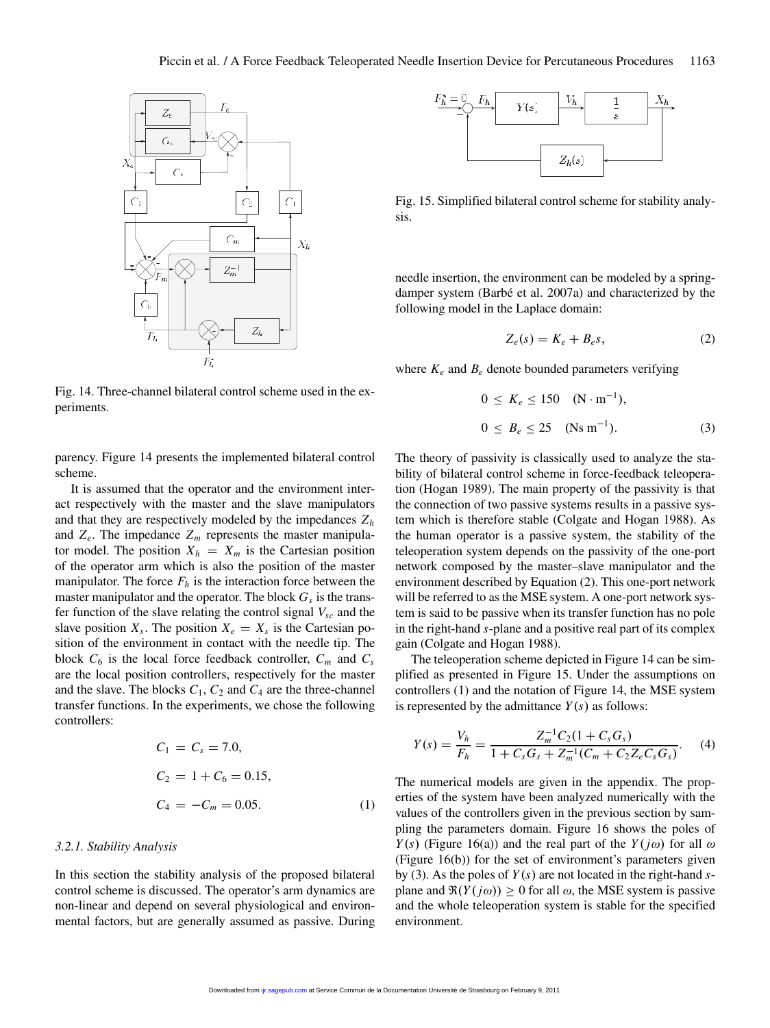

Fig. 14. Three-channel bilateral control scheme used in the experiments.

parency. Figure 14 presents the implemented bilateral control scheme.

It is assumed that the operator and the environment interact respectively with the master and the slave manipulators and that they are respectively modeled by the impedances *Zh* and  $Z_e$ . The impedance  $Z_m$  represents the master manipulator model. The position  $X_h = X_m$  is the Cartesian position of the operator arm which is also the position of the master manipulator. The force  $F_h$  is the interaction force between the master manipulator and the operator. The block  $G<sub>s</sub>$  is the transfer function of the slave relating the control signal  $V_{sc}$  and the slave position  $X_s$ . The position  $X_e = X_s$  is the Cartesian position of the environment in contact with the needle tip. The block  $C_6$  is the local force feedback controller,  $C_m$  and  $C_s$ are the local position controllers, respectively for the master and the slave. The blocks  $C_1$ ,  $C_2$  and  $C_4$  are the three-channel transfer functions. In the experiments, we chose the following controllers:

$$
C_1 = C_s = 7.0,
$$
  
\n
$$
C_2 = 1 + C_6 = 0.15,
$$
  
\n
$$
C_4 = -C_m = 0.05.
$$
 (1)

#### *3.2.1. Stability Analysis*

In this section the stability analysis of the proposed bilateral control scheme is discussed. The operator's arm dynamics are non-linear and depend on several physiological and environmental factors, but are generally assumed as passive. During



Fig. 15. Simplified bilateral control scheme for stability analysis.

needle insertion, the environment can be modeled by a springdamper system (Barbé et al. 2007a) and characterized by the following model in the Laplace domain:

$$
Z_e(s) = K_e + B_e s,\t\t(2)
$$

where  $K_e$  and  $B_e$  denote bounded parameters verifying

$$
0 \le K_e \le 150 \quad (\text{N} \cdot \text{m}^{-1}),
$$
  
 
$$
0 \le B_e \le 25 \quad (\text{Ns m}^{-1}).
$$
 (3)

The theory of passivity is classically used to analyze the stability of bilateral control scheme in force-feedback teleoperation (Hogan 1989). The main property of the passivity is that the connection of two passive systems results in a passive system which is therefore stable (Colgate and Hogan 1988). As the human operator is a passive system, the stability of the teleoperation system depends on the passivity of the one-port network composed by the master–slave manipulator and the environment described by Equation (2). This one-port network will be referred to as the MSE system. A one-port network system is said to be passive when its transfer function has no pole in the right-hand *s*-plane and a positive real part of its complex gain (Colgate and Hogan 1988).

The teleoperation scheme depicted in Figure 14 can be simplified as presented in Figure 15. Under the assumptions on controllers (1) and the notation of Figure 14, the MSE system is represented by the admittance  $Y(s)$  as follows:

$$
Y(s) = \frac{V_h}{F_h} = \frac{Z_m^{-1}C_2(1 + C_sG_s)}{1 + C_sG_s + Z_m^{-1}(C_m + C_2Z_eC_sG_s)}.
$$
 (4)

The numerical models are given in the appendix. The properties of the system have been analyzed numerically with the values of the controllers given in the previous section by sampling the parameters domain. Figure 16 shows the poles of *Y*(s) (Figure 16(a)) and the real part of the *Y*(*j* $\omega$ ) for all  $\omega$ (Figure 16(b)) for the set of environment's parameters given by (3). As the poles of  $Y(s)$  are not located in the right-hand *s*plane and  $\Re(Y(j\omega)) \ge 0$  for all  $\omega$ , the MSE system is passive and the whole teleoperation system is stable for the specified environment.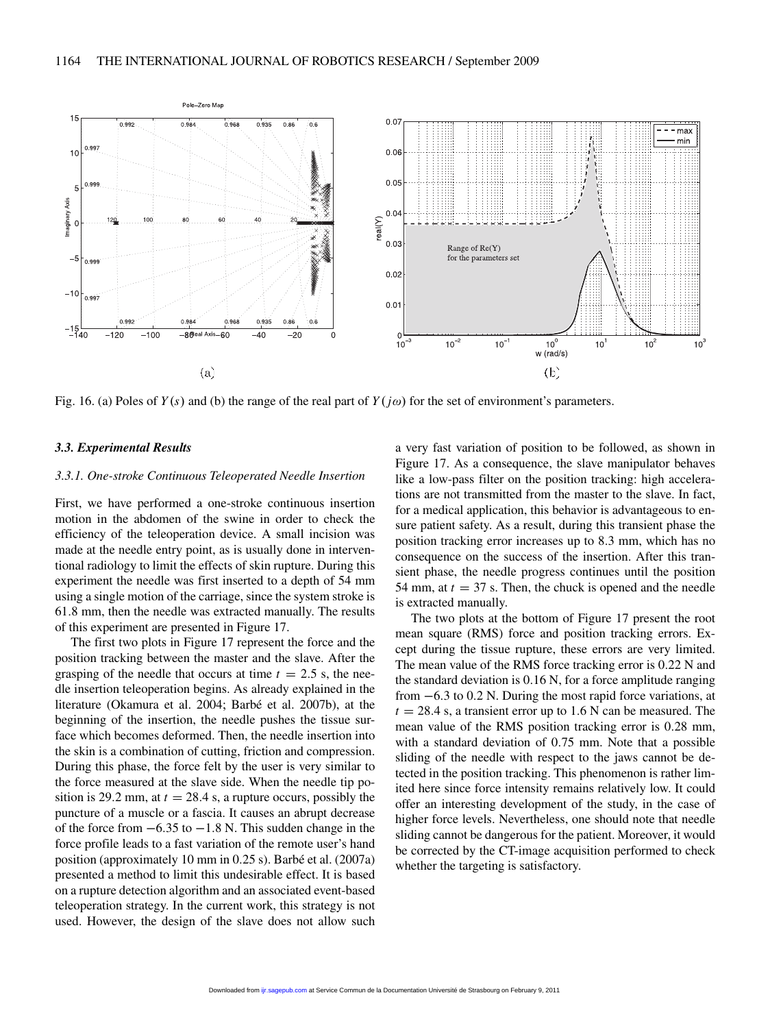

Fig. 16. (a) Poles of  $Y(s)$  and (b) the range of the real part of  $Y(j\omega)$  for the set of environment's parameters.

#### *3.3. Experimental Results*

#### *3.3.1. One-stroke Continuous Teleoperated Needle Insertion*

First, we have performed a one-stroke continuous insertion motion in the abdomen of the swine in order to check the efficiency of the teleoperation device. A small incision was made at the needle entry point, as is usually done in interventional radiology to limit the effects of skin rupture. During this experiment the needle was first inserted to a depth of 54 mm using a single motion of the carriage, since the system stroke is 61.8 mm, then the needle was extracted manually. The results of this experiment are presented in Figure 17.

The first two plots in Figure 17 represent the force and the position tracking between the master and the slave. After the grasping of the needle that occurs at time  $t = 2.5$  s, the needle insertion teleoperation begins. As already explained in the literature (Okamura et al. 2004; Barbé et al. 2007b), at the beginning of the insertion, the needle pushes the tissue surface which becomes deformed. Then, the needle insertion into the skin is a combination of cutting, friction and compression. During this phase, the force felt by the user is very similar to the force measured at the slave side. When the needle tip position is 29.2 mm, at  $t = 28.4$  s, a rupture occurs, possibly the puncture of a muscle or a fascia. It causes an abrupt decrease of the force from  $-6.35$  to  $-1.8$  N. This sudden change in the force profile leads to a fast variation of the remote user's hand position (approximately 10 mm in 025 s). Barbé et al. (2007a) presented a method to limit this undesirable effect. It is based on a rupture detection algorithm and an associated event-based teleoperation strategy. In the current work, this strategy is not used. However, the design of the slave does not allow such

a very fast variation of position to be followed, as shown in Figure 17. As a consequence, the slave manipulator behaves like a low-pass filter on the position tracking: high accelerations are not transmitted from the master to the slave. In fact, for a medical application, this behavior is advantageous to ensure patient safety. As a result, during this transient phase the position tracking error increases up to 8.3 mm, which has no consequence on the success of the insertion. After this transient phase, the needle progress continues until the position 54 mm, at  $t = 37$  s. Then, the chuck is opened and the needle is extracted manually.

The two plots at the bottom of Figure 17 present the root mean square (RMS) force and position tracking errors. Except during the tissue rupture, these errors are very limited. The mean value of the RMS force tracking error is 0.22 N and the standard deviation is  $0.16$  N, for a force amplitude ranging from  $-6.3$  to 0.2 N. During the most rapid force variations, at  $t = 28.4$  s, a transient error up to 1.6 N can be measured. The mean value of the RMS position tracking error is 0.28 mm, with a standard deviation of 0.75 mm. Note that a possible sliding of the needle with respect to the jaws cannot be detected in the position tracking. This phenomenon is rather limited here since force intensity remains relatively low. It could offer an interesting development of the study, in the case of higher force levels. Nevertheless, one should note that needle sliding cannot be dangerous for the patient. Moreover, it would be corrected by the CT-image acquisition performed to check whether the targeting is satisfactory.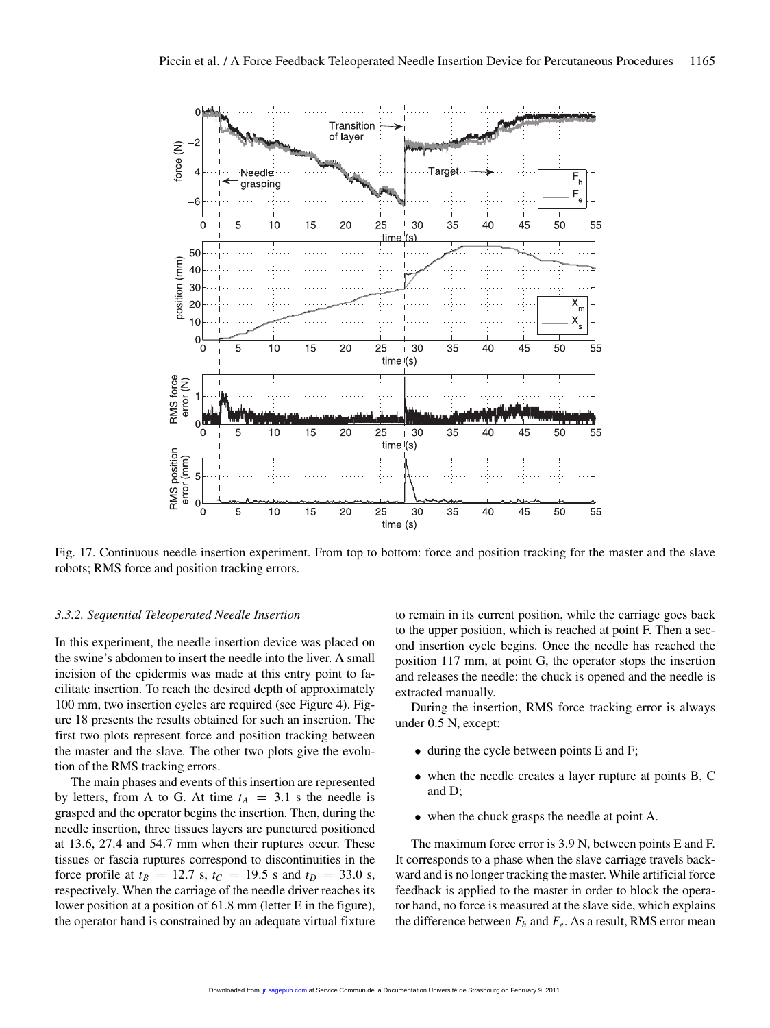

Fig. 17. Continuous needle insertion experiment. From top to bottom: force and position tracking for the master and the slave robots; RMS force and position tracking errors.

#### *3.3.2. Sequential Teleoperated Needle Insertion*

In this experiment, the needle insertion device was placed on the swine's abdomen to insert the needle into the liver. A small incision of the epidermis was made at this entry point to facilitate insertion. To reach the desired depth of approximately 100 mm, two insertion cycles are required (see Figure 4). Figure 18 presents the results obtained for such an insertion. The first two plots represent force and position tracking between the master and the slave. The other two plots give the evolution of the RMS tracking errors.

The main phases and events of this insertion are represented by letters, from A to G. At time  $t_A = 3.1$  s the needle is grasped and the operator begins the insertion. Then, during the needle insertion, three tissues layers are punctured positioned at 136, 274 and 547 mm when their ruptures occur. These tissues or fascia ruptures correspond to discontinuities in the force profile at  $t_B = 12.7$  s,  $t_C = 19.5$  s and  $t_D = 33.0$  s, respectively. When the carriage of the needle driver reaches its lower position at a position of 61.8 mm (letter E in the figure), the operator hand is constrained by an adequate virtual fixture

to remain in its current position, while the carriage goes back to the upper position, which is reached at point F. Then a second insertion cycle begins. Once the needle has reached the position 117 mm, at point G, the operator stops the insertion and releases the needle: the chuck is opened and the needle is extracted manually.

During the insertion, RMS force tracking error is always under 0.5 N, except:

- $\bullet$  during the cycle between points E and F;
- when the needle creates a layer rupture at points B, C and  $D;$
- when the chuck grasps the needle at point A.

The maximum force error is 3.9 N, between points E and F. It corresponds to a phase when the slave carriage travels backward and is no longer tracking the master. While artificial force feedback is applied to the master in order to block the operator hand, no force is measured at the slave side, which explains the difference between  $F_h$  and  $F_e$ . As a result, RMS error mean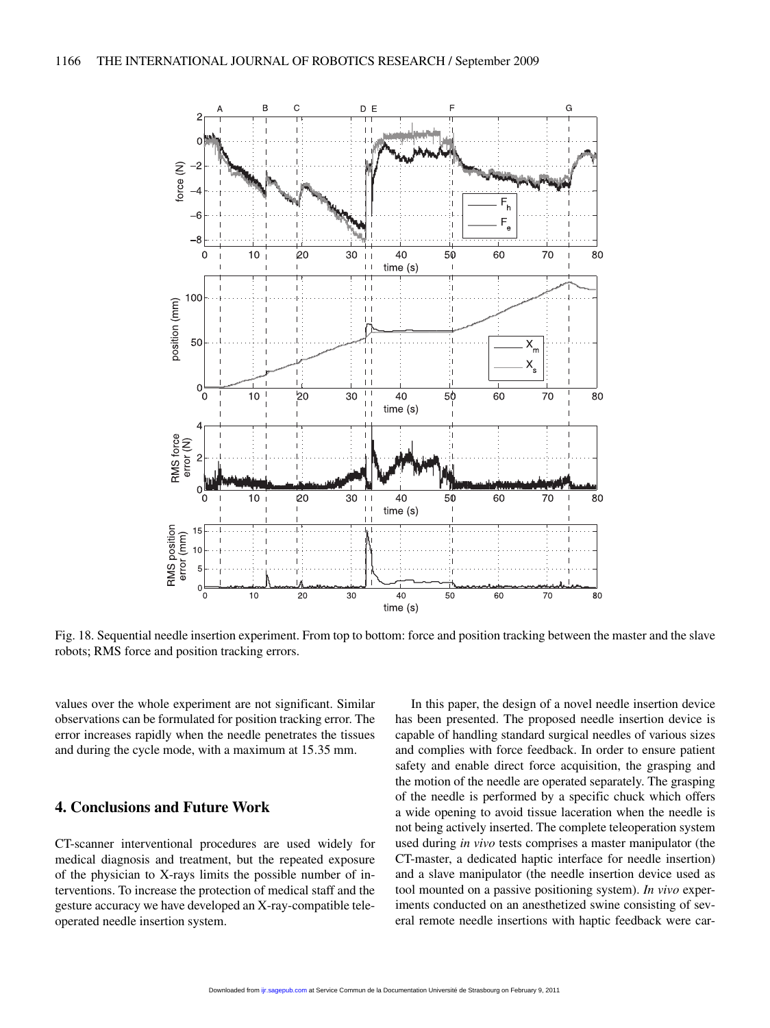

Fig. 18. Sequential needle insertion experiment. From top to bottom: force and position tracking between the master and the slave robots; RMS force and position tracking errors.

values over the whole experiment are not significant. Similar observations can be formulated for position tracking error. The error increases rapidly when the needle penetrates the tissues and during the cycle mode, with a maximum at 1535 mm.

# **4. Conclusions and Future Work**

CT-scanner interventional procedures are used widely for medical diagnosis and treatment, but the repeated exposure of the physician to X-rays limits the possible number of interventions. To increase the protection of medical staff and the gesture accuracy we have developed an X-ray-compatible teleoperated needle insertion system.

In this paper, the design of a novel needle insertion device has been presented. The proposed needle insertion device is capable of handling standard surgical needles of various sizes and complies with force feedback. In order to ensure patient safety and enable direct force acquisition, the grasping and the motion of the needle are operated separately. The grasping of the needle is performed by a specific chuck which offers a wide opening to avoid tissue laceration when the needle is not being actively inserted. The complete teleoperation system used during *in vivo* tests comprises a master manipulator (the CT-master, a dedicated haptic interface for needle insertion) and a slave manipulator (the needle insertion device used as tool mounted on a passive positioning system). *In vivo* experiments conducted on an anesthetized swine consisting of several remote needle insertions with haptic feedback were car-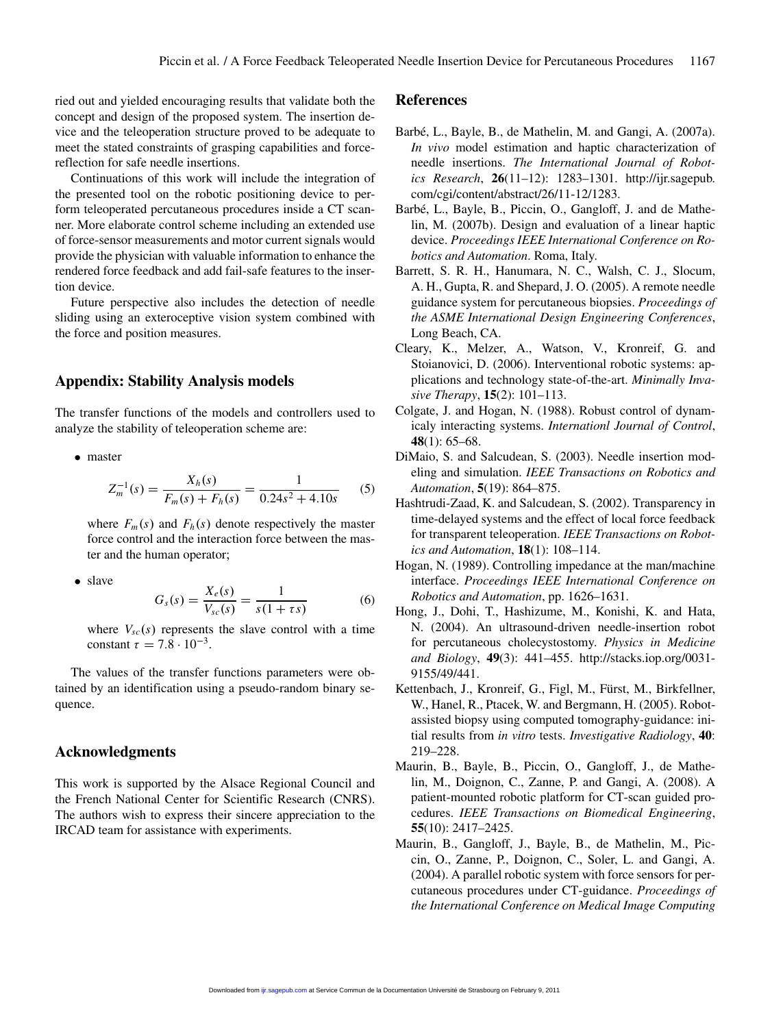ried out and yielded encouraging results that validate both the concept and design of the proposed system. The insertion device and the teleoperation structure proved to be adequate to meet the stated constraints of grasping capabilities and forcereflection for safe needle insertions.

Continuations of this work will include the integration of the presented tool on the robotic positioning device to perform teleoperated percutaneous procedures inside a CT scanner. More elaborate control scheme including an extended use of force-sensor measurements and motor current signals would provide the physician with valuable information to enhance the rendered force feedback and add fail-safe features to the insertion device.

Future perspective also includes the detection of needle sliding using an exteroceptive vision system combined with the force and position measures.

# **Appendix: Stability Analysis models**

The transfer functions of the models and controllers used to analyze the stability of teleoperation scheme are:

• master

$$
Z_m^{-1}(s) = \frac{X_h(s)}{F_m(s) + F_h(s)} = \frac{1}{0.24s^2 + 4.10s} \tag{5}
$$

where  $F_m(s)$  and  $F_h(s)$  denote respectively the master force control and the interaction force between the master and the human operator;

• slave

$$
G_s(s) = \frac{X_e(s)}{V_{sc}(s)} = \frac{1}{s(1 + \tau s)}
$$
(6)

where  $V_{sc}(s)$  represents the slave control with a time constant  $\tau = 7.8 \cdot 10^{-3}$ .

The values of the transfer functions parameters were obtained by an identification using a pseudo-random binary sequence.

# **Acknowledgments**

This work is supported by the Alsace Regional Council and the French National Center for Scientific Research (CNRS). The authors wish to express their sincere appreciation to the IRCAD team for assistance with experiments.

# **References**

- Barbé, L., Bayle, B., de Mathelin, M. and Gangi, A. (2007a). *In vivo* model estimation and haptic characterization of needle insertions. *The International Journal of Robotics Research*, **26**(11–12): 1283–1301. http://ijr.sagepub. com/cgi/content/abstract/26/11-12/1283.
- Barbé, L., Bayle, B., Piccin, O., Gangloff, J. and de Mathelin, M. (2007b). Design and evaluation of a linear haptic device. *Proceedings IEEE International Conference on Robotics and Automation*. Roma, Italy.
- Barrett, S. R. H., Hanumara, N. C., Walsh, C. J., Slocum, A. H., Gupta, R. and Shepard, J. O. (2005). A remote needle guidance system for percutaneous biopsies. *Proceedings of the ASME International Design Engineering Conferences*, Long Beach, CA.
- Cleary, K., Melzer, A., Watson, V., Kronreif, G. and Stoianovici, D. (2006). Interventional robotic systems: applications and technology state-of-the-art. *Minimally Invasive Therapy*, **15**(2): 101–113.
- Colgate, J. and Hogan, N. (1988). Robust control of dynamicaly interacting systems. *Internationl Journal of Control*, **48**(1): 65–68.
- DiMaio, S. and Salcudean, S. (2003). Needle insertion modeling and simulation. *IEEE Transactions on Robotics and Automation*, **5**(19): 864–875.
- Hashtrudi-Zaad, K. and Salcudean, S. (2002). Transparency in time-delayed systems and the effect of local force feedback for transparent teleoperation. *IEEE Transactions on Robotics and Automation*, **18**(1): 108–114.
- Hogan, N. (1989). Controlling impedance at the man/machine interface. *Proceedings IEEE International Conference on Robotics and Automation*, pp. 1626–1631.
- Hong, J., Dohi, T., Hashizume, M., Konishi, K. and Hata, N. (2004). An ultrasound-driven needle-insertion robot for percutaneous cholecystostomy. *Physics in Medicine and Biology*, **49**(3): 441–455. http://stacks.iop.org/0031- 9155/49/441.
- Kettenbach, J., Kronreif, G., Figl, M., Fürst, M., Birkfellner, W., Hanel, R., Ptacek, W. and Bergmann, H. (2005). Robotassisted biopsy using computed tomography-guidance: initial results from *in vitro* tests. *Investigative Radiology*, **40**: 219–228.
- Maurin, B., Bayle, B., Piccin, O., Gangloff, J., de Mathelin, M., Doignon, C., Zanne, P. and Gangi, A. (2008). A patient-mounted robotic platform for CT-scan guided procedures. *IEEE Transactions on Biomedical Engineering*, **55**(10): 2417–2425.
- Maurin, B., Gangloff, J., Bayle, B., de Mathelin, M., Piccin, O., Zanne, P., Doignon, C., Soler, L. and Gangi, A. (2004). A parallel robotic system with force sensors for percutaneous procedures under CT-guidance. *Proceedings of the International Conference on Medical Image Computing*